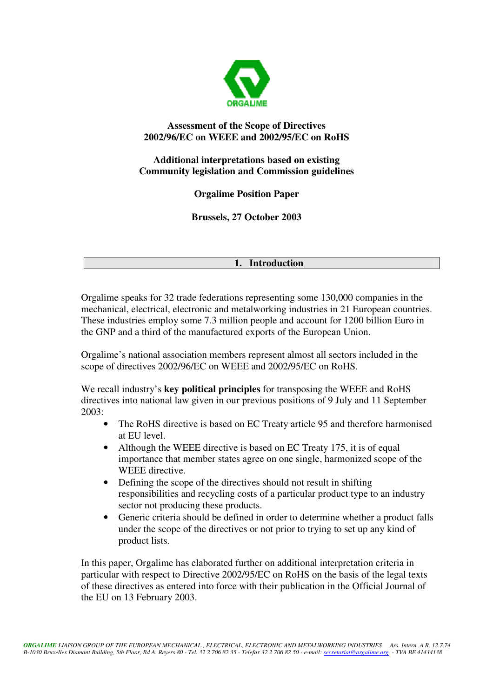

## **Assessment of the Scope of Directives 2002/96/EC on WEEE and 2002/95/EC on RoHS**

## **Additional interpretations based on existing Community legislation and Commission guidelines**

**Orgalime Position Paper**

**Brussels, 27 October 2003**

## **1. Introduction**

Orgalime speaks for 32 trade federations representing some 130,000 companies in the mechanical, electrical, electronic and metalworking industries in 21 European countries. These industries employ some 7.3 million people and account for 1200 billion Euro in the GNP and a third of the manufactured exports of the European Union.

Orgalime's national association members represent almost all sectors included in the scope of directives 2002/96/EC on WEEE and 2002/95/EC on RoHS.

We recall industry's **key political principles** for transposing the WEEE and RoHS directives into national law given in our previous positions of 9 July and 11 September 2003:

- The RoHS directive is based on EC Treaty article 95 and therefore harmonised at EU level.
- Although the WEEE directive is based on EC Treaty 175, it is of equal importance that member states agree on one single, harmonized scope of the WEEE directive.
- Defining the scope of the directives should not result in shifting responsibilities and recycling costs of a particular product type to an industry sector not producing these products.
- Generic criteria should be defined in order to determine whether a product falls under the scope of the directives or not prior to trying to set up any kind of product lists.

In this paper, Orgalime has elaborated further on additional interpretation criteria in particular with respect to Directive 2002/95/EC on RoHS on the basis of the legal texts of these directives as entered into force with their publication in the Official Journal of the EU on 13 February 2003.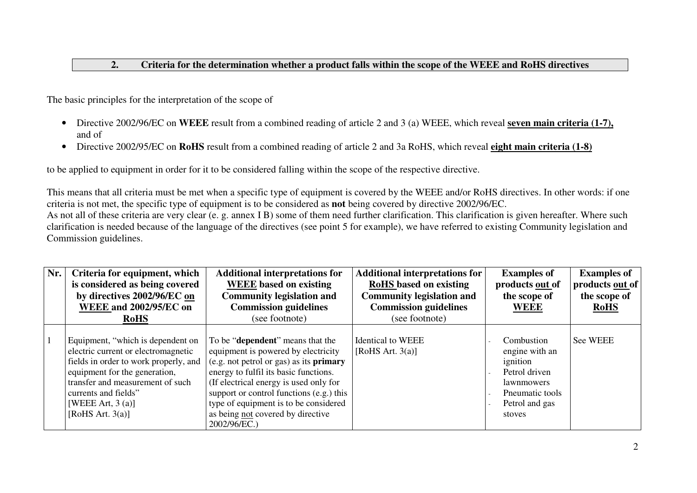## **2.Criteria for the determination whether <sup>a</sup> product falls within the scope of the WEEE and RoHS directives**

The basic principles for the interpretation of the scope of

- Directive 2002/96/EC on **WEEE** result from <sup>a</sup> combined reading of article 2 and 3 (a) WEEE, which reveal **seven main criteria (1-7),** and of
- Directive 2002/95/EC on **RoHS** result from <sup>a</sup> combined reading of article 2 and 3a RoHS, which reveal **eight main criteria (1-8)**

to be applied to equipment in order for it to be considered falling within the scope of the respective directive.

This means that all criteria must be met when <sup>a</sup> specific type of equipment is covered by the WEEE and/or RoHS directives. In other words: if one criteria is not met, the specific type of equipment is to be considered as **not** being covered by directive 2002/96/EC.

As not all of these criteria are very clear (e. g. annex I B) some of them need further clarification. This clarification is given hereafter. Where such clarification is needed because of the language of the directives (see point 5 for example), we have referred to existing Community legislation and Commission guidelines.

| Nr. | Criteria for equipment, which<br>is considered as being covered<br>by directives 2002/96/EC on<br><b>WEEE and 2002/95/EC on</b><br><b>RoHS</b>                                                                                                               | <b>Additional interpretations for</b><br><b>WEEE</b> based on existing<br><b>Community legislation and</b><br><b>Commission guidelines</b><br>(see footnote)                                                                                                                                                                                                    | <b>Additional interpretations for</b><br><b>RoHS</b> based on existing<br><b>Community legislation and</b><br><b>Commission guidelines</b><br>(see footnote) | <b>Examples of</b><br>products out of<br>the scope of<br><b>WEEE</b>                                                          | <b>Examples of</b><br>products out of<br>the scope of<br><b>RoHS</b> |
|-----|--------------------------------------------------------------------------------------------------------------------------------------------------------------------------------------------------------------------------------------------------------------|-----------------------------------------------------------------------------------------------------------------------------------------------------------------------------------------------------------------------------------------------------------------------------------------------------------------------------------------------------------------|--------------------------------------------------------------------------------------------------------------------------------------------------------------|-------------------------------------------------------------------------------------------------------------------------------|----------------------------------------------------------------------|
|     | Equipment, "which is dependent on<br>electric current or electromagnetic<br>fields in order to work properly, and<br>equipment for the generation,<br>transfer and measurement of such<br>currents and fields"<br>[WEEE Art, $3$ (a)]<br>[RoHS Art. $3(a)$ ] | To be " <b>dependent</b> " means that the<br>equipment is powered by electricity<br>(e.g. not petrol or gas) as its <b>primary</b><br>energy to fulfil its basic functions.<br>(If electrical energy is used only for<br>support or control functions (e.g.) this<br>type of equipment is to be considered<br>as being not covered by directive<br>2002/96/EC.) | <b>Identical to WEEE</b><br>[RoHS Art. $3(a)$ ]                                                                                                              | Combustion<br>engine with an<br>ignition<br>Petrol driven<br><i>lawnmowers</i><br>Pneumatic tools<br>Petrol and gas<br>stoves | <b>See WEEE</b>                                                      |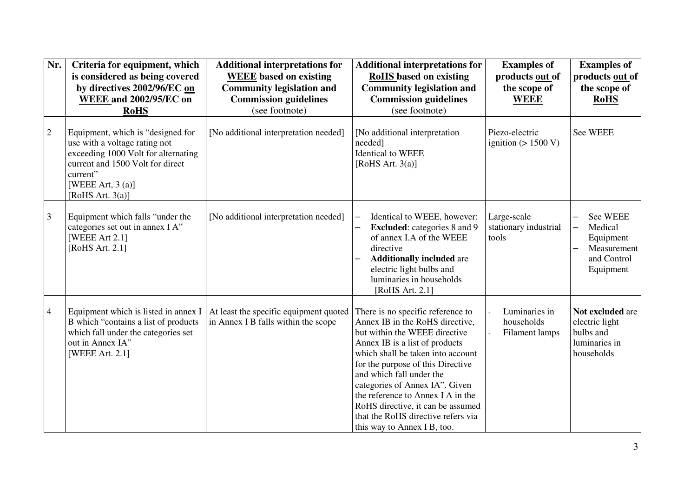| Nr.            | Criteria for equipment, which<br>is considered as being covered<br>by directives 2002/96/EC on<br><b>WEEE and 2002/95/EC on</b>                                                                         | <b>Additional interpretations for</b><br><b>WEEE</b> based on existing<br><b>Community legislation and</b><br><b>Commission guidelines</b> | <b>Additional interpretations for</b><br><b>RoHS</b> based on existing<br><b>Community legislation and</b><br><b>Commission guidelines</b>                                                                                                                                                                                                                                                                                     | <b>Examples of</b><br>products out of<br>the scope of<br><b>WEEE</b> | <b>Examples of</b><br>products out of<br>the scope of<br><b>RoHS</b>             |
|----------------|---------------------------------------------------------------------------------------------------------------------------------------------------------------------------------------------------------|--------------------------------------------------------------------------------------------------------------------------------------------|--------------------------------------------------------------------------------------------------------------------------------------------------------------------------------------------------------------------------------------------------------------------------------------------------------------------------------------------------------------------------------------------------------------------------------|----------------------------------------------------------------------|----------------------------------------------------------------------------------|
|                | <b>RoHS</b>                                                                                                                                                                                             | (see footnote)                                                                                                                             | (see footnote)                                                                                                                                                                                                                                                                                                                                                                                                                 |                                                                      |                                                                                  |
| $\overline{2}$ | Equipment, which is "designed for<br>use with a voltage rating not<br>exceeding 1000 Volt for alternating<br>current and 1500 Volt for direct<br>current"<br>[WEEE Art, $3(a)$ ]<br>[RoHS Art. $3(a)$ ] | [No additional interpretation needed]                                                                                                      | [No additional interpretation<br>needed]<br><b>Identical</b> to WEEE<br>[RoHS Art. $3(a)$ ]                                                                                                                                                                                                                                                                                                                                    | Piezo-electric<br>ignition $(> 1500 V)$                              | See WEEE                                                                         |
| $\mathfrak{Z}$ | Equipment which falls "under the<br>categories set out in annex I A"<br>[WEEE Art 2.1]<br>[RoHS Art. 2.1]                                                                                               | [No additional interpretation needed]                                                                                                      | Identical to WEEE, however:<br><b>Excluded:</b> categories 8 and 9<br>of annex I.A of the WEEE<br>directive<br><b>Additionally included are</b><br>electric light bulbs and<br>luminaries in households<br>[RoHS Art. 2.1]                                                                                                                                                                                                     | Large-scale<br>stationary industrial<br>tools                        | See WEEE<br>Medical<br>—<br>Equipment<br>Measurement<br>and Control<br>Equipment |
| $\overline{4}$ | Equipment which is listed in annex I<br>B which "contains a list of products<br>which fall under the categories set<br>out in Annex IA"<br>[WEEE Art. 2.1]                                              | At least the specific equipment quoted<br>in Annex I B falls within the scope                                                              | There is no specific reference to<br>Annex IB in the RoHS directive,<br>but within the WEEE directive<br>Annex IB is a list of products<br>which shall be taken into account<br>for the purpose of this Directive<br>and which fall under the<br>categories of Annex IA". Given<br>the reference to Annex I A in the<br>RoHS directive, it can be assumed<br>that the RoHS directive refers via<br>this way to Annex I B, too. | Luminaries in<br>households<br>Filament lamps                        | Not excluded are<br>electric light<br>bulbs and<br>luminaries in<br>households   |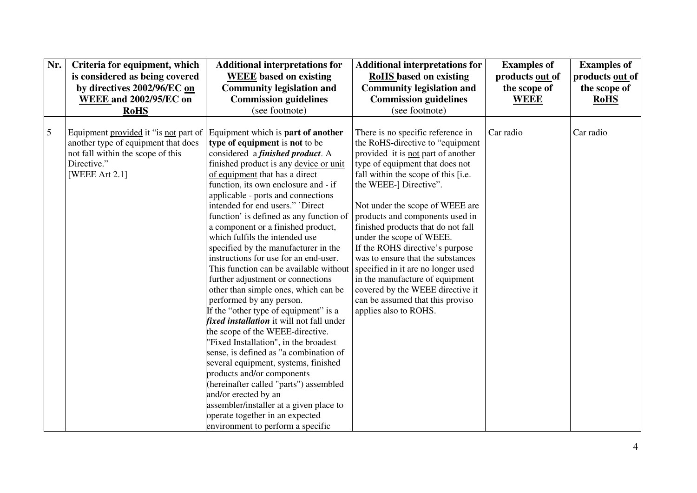| Nr. | Criteria for equipment, which<br>is considered as being covered<br>by directives 2002/96/EC on<br><b>WEEE and 2002/95/EC on</b>                    | <b>Additional interpretations for</b><br><b>WEEE</b> based on existing<br><b>Community legislation and</b><br><b>Commission guidelines</b>                                                                                                                                                                                                                                                                                                                                                                                                                                                                                                                                                                                                                                                                                                                                                                                                                                                                                                                                                                                                    | <b>Additional interpretations for</b><br><b>RoHS</b> based on existing<br><b>Community legislation and</b><br><b>Commission guidelines</b>                                                                                                                                                                                                                                                                                                                                                                                                                                                                 | <b>Examples of</b><br>products out of<br>the scope of<br><b>WEEE</b> | <b>Examples of</b><br>products out of<br>the scope of<br><b>RoHS</b> |
|-----|----------------------------------------------------------------------------------------------------------------------------------------------------|-----------------------------------------------------------------------------------------------------------------------------------------------------------------------------------------------------------------------------------------------------------------------------------------------------------------------------------------------------------------------------------------------------------------------------------------------------------------------------------------------------------------------------------------------------------------------------------------------------------------------------------------------------------------------------------------------------------------------------------------------------------------------------------------------------------------------------------------------------------------------------------------------------------------------------------------------------------------------------------------------------------------------------------------------------------------------------------------------------------------------------------------------|------------------------------------------------------------------------------------------------------------------------------------------------------------------------------------------------------------------------------------------------------------------------------------------------------------------------------------------------------------------------------------------------------------------------------------------------------------------------------------------------------------------------------------------------------------------------------------------------------------|----------------------------------------------------------------------|----------------------------------------------------------------------|
|     | <b>RoHS</b>                                                                                                                                        | (see footnote)                                                                                                                                                                                                                                                                                                                                                                                                                                                                                                                                                                                                                                                                                                                                                                                                                                                                                                                                                                                                                                                                                                                                | (see footnote)                                                                                                                                                                                                                                                                                                                                                                                                                                                                                                                                                                                             |                                                                      |                                                                      |
| 5   | Equipment provided it "is not part of<br>another type of equipment that does<br>not fall within the scope of this<br>Directive."<br>[WEEE Art 2.1] | Equipment which is part of another<br>type of equipment is not to be<br>considered a <i>finished product</i> . A<br>finished product is any device or unit<br>of equipment that has a direct<br>function, its own enclosure and - if<br>applicable - ports and connections<br>intended for end users." 'Direct<br>function' is defined as any function of<br>a component or a finished product,<br>which fulfils the intended use<br>specified by the manufacturer in the<br>instructions for use for an end-user.<br>This function can be available without<br>further adjustment or connections<br>other than simple ones, which can be<br>performed by any person.<br>If the "other type of equipment" is a<br>fixed installation it will not fall under<br>the scope of the WEEE-directive.<br>"Fixed Installation", in the broadest<br>sense, is defined as "a combination of<br>several equipment, systems, finished<br>products and/or components<br>(hereinafter called "parts") assembled<br>and/or erected by an<br>assembler/installer at a given place to<br>operate together in an expected<br>environment to perform a specific | There is no specific reference in<br>the RoHS-directive to "equipment"<br>provided it is not part of another<br>type of equipment that does not<br>fall within the scope of this [i.e.<br>the WEEE-] Directive".<br>Not under the scope of WEEE are<br>products and components used in<br>finished products that do not fall<br>under the scope of WEEE.<br>If the ROHS directive's purpose<br>was to ensure that the substances<br>specified in it are no longer used<br>in the manufacture of equipment<br>covered by the WEEE directive it<br>can be assumed that this proviso<br>applies also to ROHS. | Car radio                                                            | Car radio                                                            |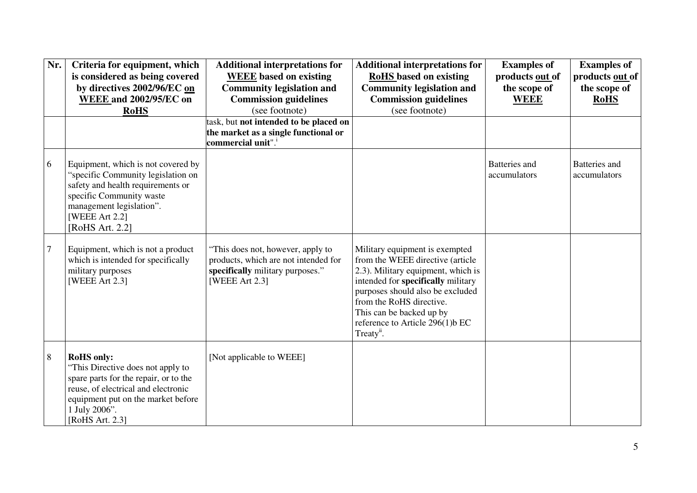| Nr.            | Criteria for equipment, which<br>is considered as being covered<br>by directives 2002/96/EC on<br><b>WEEE and 2002/95/EC on</b><br><b>RoHS</b>                                                                   | <b>Additional interpretations for</b><br><b>WEEE</b> based on existing<br><b>Community legislation and</b><br><b>Commission guidelines</b><br>(see footnote) | <b>Additional interpretations for</b><br><b>RoHS</b> based on existing<br><b>Community legislation and</b><br><b>Commission guidelines</b><br>(see footnote)                                                                                                                                            | <b>Examples of</b><br>products out of<br>the scope of<br><b>WEEE</b> | <b>Examples of</b><br>products out of<br>the scope of<br><b>RoHS</b> |
|----------------|------------------------------------------------------------------------------------------------------------------------------------------------------------------------------------------------------------------|--------------------------------------------------------------------------------------------------------------------------------------------------------------|---------------------------------------------------------------------------------------------------------------------------------------------------------------------------------------------------------------------------------------------------------------------------------------------------------|----------------------------------------------------------------------|----------------------------------------------------------------------|
|                |                                                                                                                                                                                                                  | task, but not intended to be placed on<br>the market as a single functional or<br>commercial unit". <sup>i</sup>                                             |                                                                                                                                                                                                                                                                                                         |                                                                      |                                                                      |
| 6              | Equipment, which is not covered by<br>"specific Community legislation on<br>safety and health requirements or<br>specific Community waste<br>management legislation".<br>[WEEE Art 2.2]<br>[RoHS Art. 2.2]       |                                                                                                                                                              |                                                                                                                                                                                                                                                                                                         | Batteries and<br>accumulators                                        | Batteries and<br>accumulators                                        |
| $\overline{7}$ | Equipment, which is not a product<br>which is intended for specifically<br>military purposes<br>[WEEE Art 2.3]                                                                                                   | "This does not, however, apply to<br>products, which are not intended for<br>specifically military purposes."<br>[WEEE Art 2.3]                              | Military equipment is exempted<br>from the WEEE directive (article<br>2.3). Military equipment, which is<br>intended for specifically military<br>purposes should also be excluded<br>from the RoHS directive.<br>This can be backed up by<br>reference to Article 296(1)b EC<br>Treaty <sup>ii</sup> . |                                                                      |                                                                      |
| $\,8\,$        | <b>RoHS</b> only:<br>"This Directive does not apply to<br>spare parts for the repair, or to the<br>reuse, of electrical and electronic<br>equipment put on the market before<br>1 July 2006".<br>[RoHS Art. 2.3] | [Not applicable to WEEE]                                                                                                                                     |                                                                                                                                                                                                                                                                                                         |                                                                      |                                                                      |